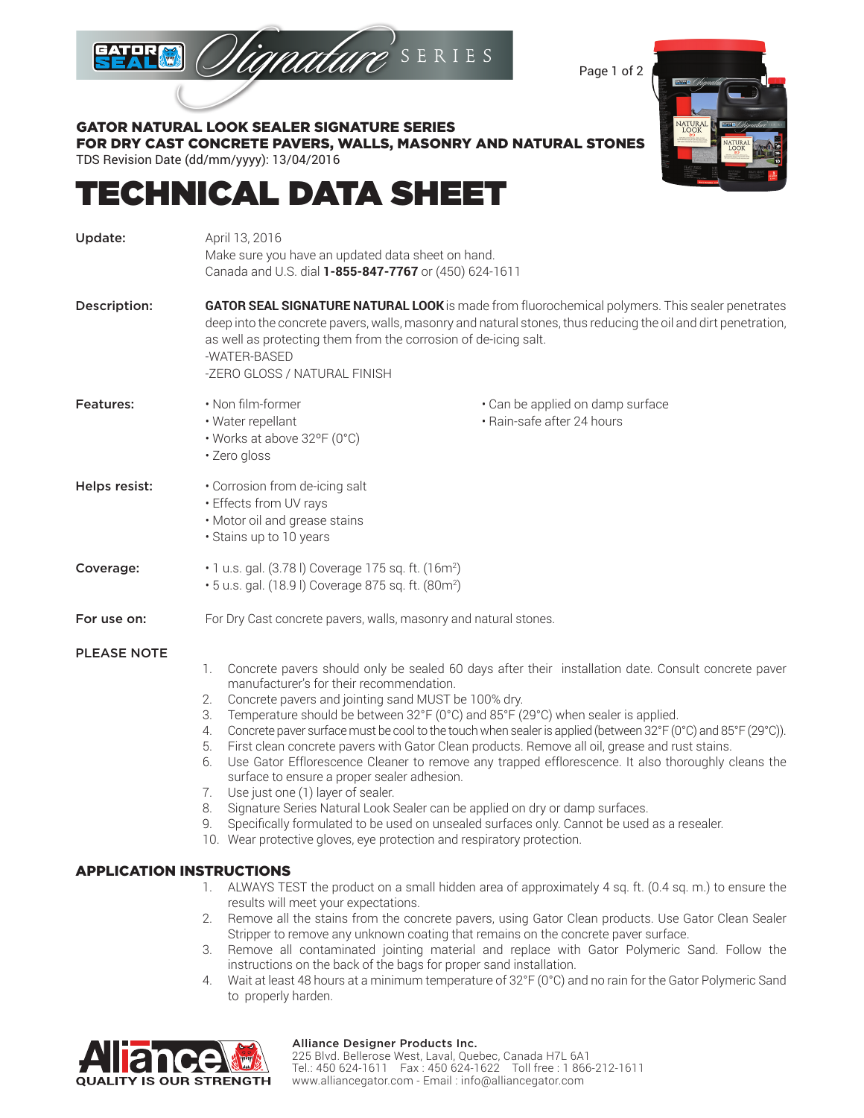

Page 1 of 2



### GATOR NATURAL LOOK SEALER SIGNATURE SERIES FOR DRY CAST CONCRETE PAVERS, WALLS, MASONRY AND NATURAL STONES

TDS Revision Date (dd/mm/yyyy): 13/04/2016

# TECHNICAL DATA SHEET

| Update:            | April 13, 2016<br>Make sure you have an updated data sheet on hand.<br>Canada and U.S. dial 1-855-847-7767 or (450) 624-1611                                                                                                                                                                                                                                                                                                                                                                                                                                                                                                                                                                                                                                                                                                                                                                                                                                                                                           |                                                                |  |  |  |
|--------------------|------------------------------------------------------------------------------------------------------------------------------------------------------------------------------------------------------------------------------------------------------------------------------------------------------------------------------------------------------------------------------------------------------------------------------------------------------------------------------------------------------------------------------------------------------------------------------------------------------------------------------------------------------------------------------------------------------------------------------------------------------------------------------------------------------------------------------------------------------------------------------------------------------------------------------------------------------------------------------------------------------------------------|----------------------------------------------------------------|--|--|--|
| Description:       | GATOR SEAL SIGNATURE NATURAL LOOK is made from fluorochemical polymers. This sealer penetrates<br>deep into the concrete pavers, walls, masonry and natural stones, thus reducing the oil and dirt penetration,<br>as well as protecting them from the corrosion of de-icing salt.<br>-WATER-BASED<br>-ZERO GLOSS / NATURAL FINISH                                                                                                                                                                                                                                                                                                                                                                                                                                                                                                                                                                                                                                                                                     |                                                                |  |  |  |
| <b>Features:</b>   | • Non film-former<br>· Water repellant<br>• Works at above 32°F (0°C)<br>· Zero gloss                                                                                                                                                                                                                                                                                                                                                                                                                                                                                                                                                                                                                                                                                                                                                                                                                                                                                                                                  | • Can be applied on damp surface<br>· Rain-safe after 24 hours |  |  |  |
| Helps resist:      | • Corrosion from de-icing salt<br>• Effects from UV rays<br>· Motor oil and grease stains<br>· Stains up to 10 years                                                                                                                                                                                                                                                                                                                                                                                                                                                                                                                                                                                                                                                                                                                                                                                                                                                                                                   |                                                                |  |  |  |
| Coverage:          | .1 u.s. gal. (3.78 l) Coverage 175 sq. ft. (16m <sup>2</sup> )<br>• 5 u.s. gal. (18.9 l) Coverage 875 sq. ft. (80m <sup>2</sup> )                                                                                                                                                                                                                                                                                                                                                                                                                                                                                                                                                                                                                                                                                                                                                                                                                                                                                      |                                                                |  |  |  |
| For use on:        | For Dry Cast concrete pavers, walls, masonry and natural stones.                                                                                                                                                                                                                                                                                                                                                                                                                                                                                                                                                                                                                                                                                                                                                                                                                                                                                                                                                       |                                                                |  |  |  |
| <b>PLEASE NOTE</b> | Concrete pavers should only be sealed 60 days after their installation date. Consult concrete paver<br>1.<br>manufacturer's for their recommendation.<br>Concrete pavers and jointing sand MUST be 100% dry.<br>2.<br>Temperature should be between 32°F (0°C) and 85°F (29°C) when sealer is applied.<br>3.<br>Concrete paver surface must be cool to the touch when sealer is applied (between 32°F (0°C) and 85°F (29°C)).<br>4.<br>First clean concrete pavers with Gator Clean products. Remove all oil, grease and rust stains.<br>5.<br>Use Gator Efflorescence Cleaner to remove any trapped efflorescence. It also thoroughly cleans the<br>6.<br>surface to ensure a proper sealer adhesion.<br>Use just one (1) layer of sealer.<br>7.<br>Signature Series Natural Look Sealer can be applied on dry or damp surfaces.<br>8.<br>Specifically formulated to be used on unsealed surfaces only. Cannot be used as a resealer.<br>9.<br>10. Wear protective gloves, eye protection and respiratory protection. |                                                                |  |  |  |

#### APPLICATION INSTRUCTIONS

- 1. ALWAYS TEST the product on a small hidden area of approximately 4 sq. ft. (0.4 sq. m.) to ensure the results will meet your expectations.
- 2. Remove all the stains from the concrete pavers, using Gator Clean products. Use Gator Clean Sealer Stripper to remove any unknown coating that remains on the concrete paver surface.
- 3. Remove all contaminated jointing material and replace with Gator Polymeric Sand. Follow the instructions on the back of the bags for proper sand installation.
- 4. Wait at least 48 hours at a minimum temperature of 32°F (0°C) and no rain for the Gator Polymeric Sand to properly harden.



#### Alliance Designer Products Inc.

225 Blvd. Bellerose West, Laval, Quebec, Canada H7L 6A1 Tel.: 450 624-1611 Fax : 450 624-1622 Toll free : 1 866-212-1611 www.alliancegator.com - Email : info@alliancegator.com